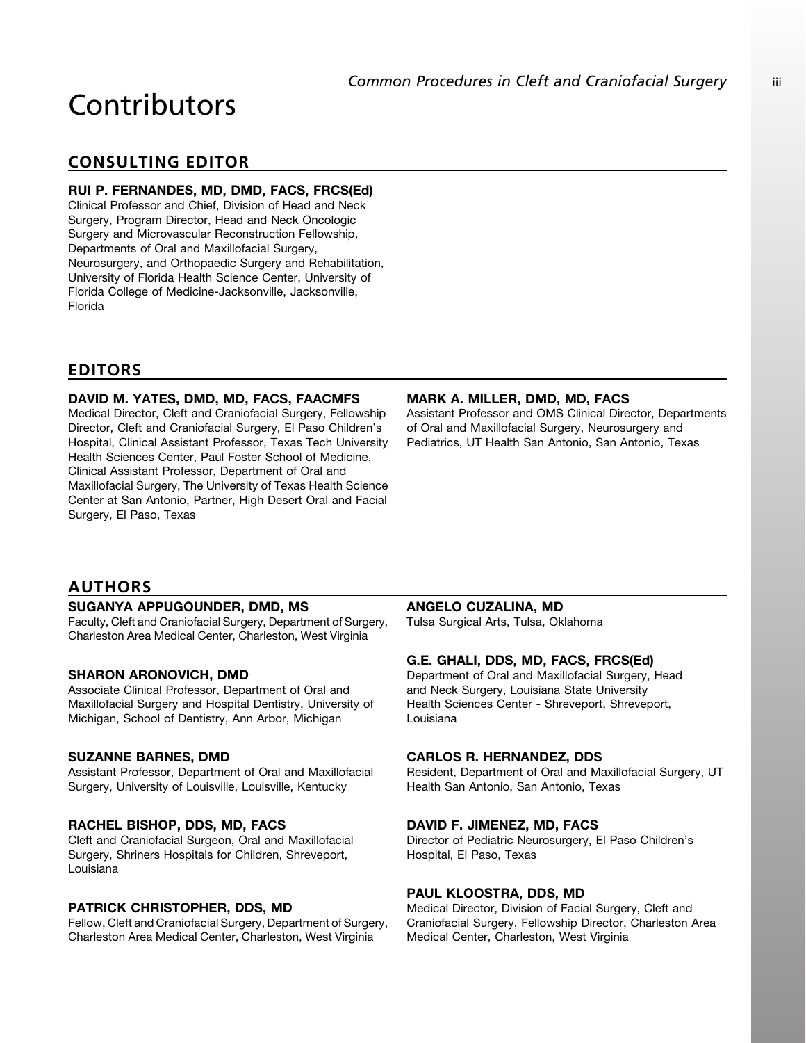# Contributors

# CONSULTING EDITOR

# RUI P. FERNANDES, MD, DMD, FACS, FRCS(Ed)

Clinical Professor and Chief, Division of Head and Neck Surgery, Program Director, Head and Neck Oncologic Surgery and Microvascular Reconstruction Fellowship, Departments of Oral and Maxillofacial Surgery, Neurosurgery, and Orthopaedic Surgery and Rehabilitation, University of Florida Health Science Center, University of Florida College of Medicine-Jacksonville, Jacksonville, Florida

# EDITORS

# DAVID M. YATES, DMD, MD, FACS, FAACMFS

Medical Director, Cleft and Craniofacial Surgery, Fellowship Director, Cleft and Craniofacial Surgery, El Paso Children's Hospital, Clinical Assistant Professor, Texas Tech University Health Sciences Center, Paul Foster School of Medicine, Clinical Assistant Professor, Department of Oral and Maxillofacial Surgery, The University of Texas Health Science Center at San Antonio, Partner, High Desert Oral and Facial Surgery, El Paso, Texas

# MARK A. MILLER, DMD, MD, FACS

Assistant Professor and OMS Clinical Director, Departments of Oral and Maxillofacial Surgery, Neurosurgery and Pediatrics, UT Health San Antonio, San Antonio, Texas

# AUTHORS

# SUGANYA APPUGOUNDER, DMD, MS

Faculty, Cleft and Craniofacial Surgery, Department of Surgery, Charleston Area Medical Center, Charleston, West Virginia

# SHARON ARONOVICH, DMD

Associate Clinical Professor, Department of Oral and Maxillofacial Surgery and Hospital Dentistry, University of Michigan, School of Dentistry, Ann Arbor, Michigan

#### SUZANNE BARNES, DMD

Assistant Professor, Department of Oral and Maxillofacial Surgery, University of Louisville, Louisville, Kentucky

# RACHEL BISHOP, DDS, MD, FACS

Cleft and Craniofacial Surgeon, Oral and Maxillofacial Surgery, Shriners Hospitals for Children, Shreveport, Louisiana

# PATRICK CHRISTOPHER, DDS, MD

Fellow, Cleft and Craniofacial Surgery, Department of Surgery, Charleston Area Medical Center, Charleston, West Virginia

# ANGELO CUZALINA, MD

Tulsa Surgical Arts, Tulsa, Oklahoma

# G.E. GHALI, DDS, MD, FACS, FRCS(Ed)

Department of Oral and Maxillofacial Surgery, Head and Neck Surgery, Louisiana State University Health Sciences Center - Shreveport, Shreveport, Louisiana

#### CARLOS R. HERNANDEZ, DDS

Resident, Department of Oral and Maxillofacial Surgery, UT Health San Antonio, San Antonio, Texas

#### DAVID F. JIMENEZ, MD, FACS

Director of Pediatric Neurosurgery, El Paso Children's Hospital, El Paso, Texas

#### PAUL KLOOSTRA, DDS, MD

Medical Director, Division of Facial Surgery, Cleft and Craniofacial Surgery, Fellowship Director, Charleston Area Medical Center, Charleston, West Virginia